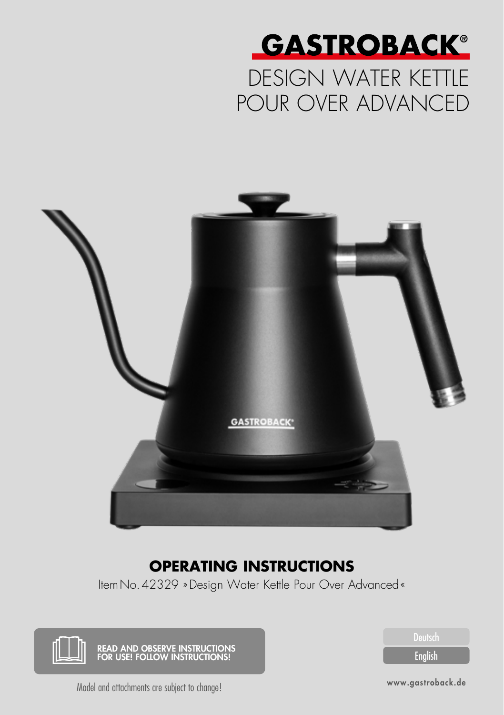

# DESIGN WATER KETTLE POUR OVER ADVANCED



### **OPERATING INSTRUCTIONS**

ItemNo.42329 »Design Water Kettle Pour Over Advanced«



English

Model and attachments are subject to change!

www.gastroback.de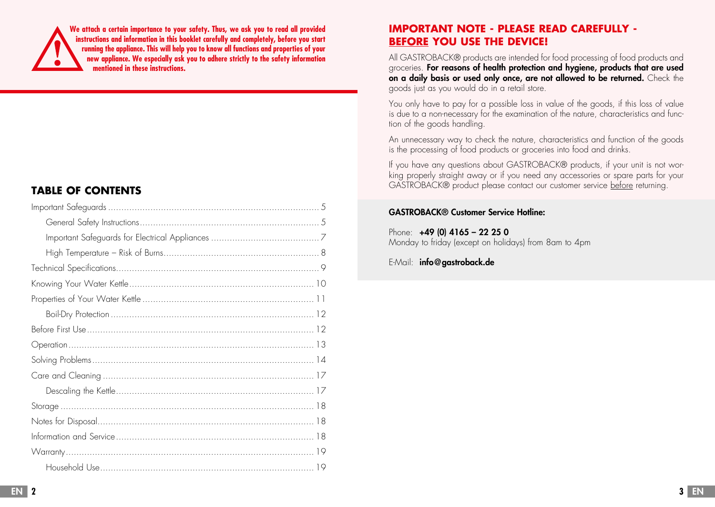**We attach a certain importance to your safety. Thus, we ask you to read all provided instructions and information in this booklet carefully and completely, before you start running the appliance. This will help you to know all functions and properties of your new appliance. We especially ask you to adhere strictly to the safety information mentioned in these instructions.**

#### **TABLE OF CONTENTS**

#### **IMPORTANT NOTE - PLEASE READ CAREFULLY - BEFORE YOU USE THE DEVICE!**

All GASTROBACK® products are intended for food processing of food products and groceries. For reasons of health protection and hygiene, products that are used on a daily basis or used only once, are not allowed to be returned. Check the goods just as you would do in a retail store.

You only have to pay for a possible loss in value of the goods, if this loss of value is due to a non-necessary for the examination of the nature, characteristics and function of the goods handling.

An unnecessary way to check the nature, characteristics and function of the goods is the processing of food products or groceries into food and drinks.

If you have any questions about GASTROBACK® products, if your unit is not working properly straight away or if you need any accessories or spare parts for your GASTROBACK® product please contact our customer service before returning.

#### GASTROBACK® Customer Service Hotline:

Phone: +49 (0) 4165 - 22 25 0 Monday to friday (except on holidays) from 8am to 4pm

#### E-Mail: info@gastroback.de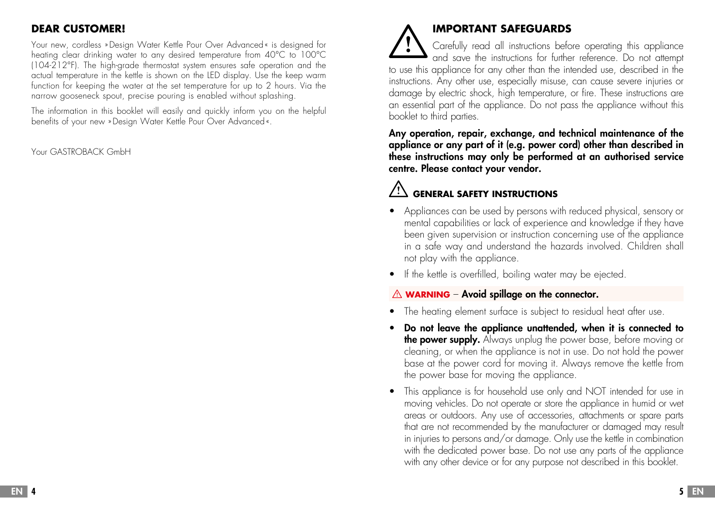### **DEAR CUSTOMER!**

Your new, cordless »Design Water Kettle Pour Over Advanced« is designed for heating clear drinking water to any desired temperature from 40°C to 100°C (104-212°F). The high-grade thermostat system ensures safe operation and the actual temperature in the kettle is shown on the LED display. Use the keep warm function for keeping the water at the set temperature for up to 2 hours. Via the narrow gooseneck spout, precise pouring is enabled without splashing.

The information in this booklet will easily and quickly inform you on the helpful benefits of your new »Design Water Kettle Pour Over Advanced «.

Your GASTROBACK GmbH

# **IMPORTANT SAFEGUARDS**

Carefully read all instructions before operating this appliance and save the instructions for further reference. Do not attempt to use this appliance for any other than the intended use, described in the instructions. Any other use, especially misuse, can cause severe injuries or damage by electric shock, high temperature, or fire. These instructions are an essential part of the appliance. Do not pass the appliance without this booklet to third parties.

Any operation, repair, exchange, and technical maintenance of the appliance or any part of it (e.g. power cord) other than described in these instructions may only be performed at an authorised service centre. Please contact your vendor.

# **GENERAL SAFETY INSTRUCTIONS**

- Appliances can be used by persons with reduced physical, sensory or mental capabilities or lack of experience and knowledge if they have been given supervision or instruction concerning use of the appliance in a safe way and understand the hazards involved. Children shall not play with the appliance.
- If the kettle is overfilled, boiling water may be ejected.

### **A** WARNING – Avoid spillage on the connector.

- The heating element surface is subject to residual heat after use.
- Do not leave the appliance unattended, when it is connected to the power supply. Always unplug the power base, before moving or cleaning, or when the appliance is not in use. Do not hold the power base at the power cord for moving it. Always remove the kettle from the power base for moving the appliance.
- This appliance is for household use only and NOT intended for use in moving vehicles. Do not operate or store the appliance in humid or wet areas or outdoors. Any use of accessories, attachments or spare parts that are not recommended by the manufacturer or damaged may result in injuries to persons and/or damage. Only use the kettle in combination with the dedicated power base. Do not use any parts of the appliance with any other device or for any purpose not described in this booklet.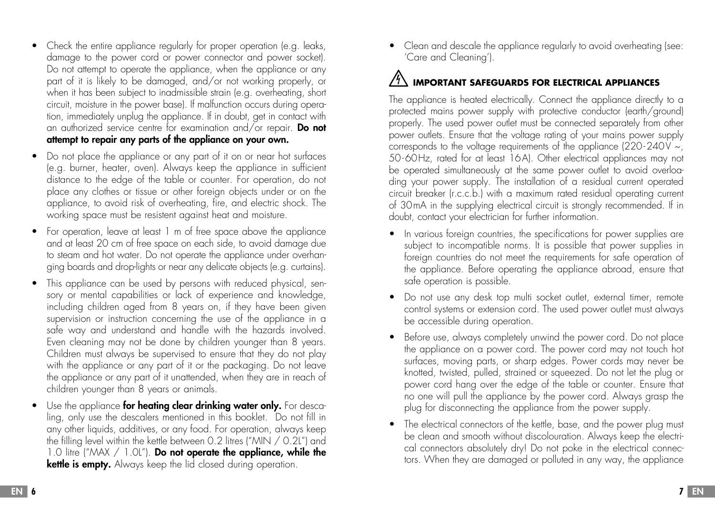- Check the entire appliance regularly for proper operation (e.g. leaks, damage to the power cord or power connector and power socket). Do not attempt to operate the appliance, when the appliance or any part of it is likely to be damaged, and/or not working properly, or when it has been subject to inadmissible strain (e.g. overheating, short circuit, moisture in the power base). If malfunction occurs during operation, immediately unplug the appliance. If in doubt, get in contact with an authorized service centre for examination and/or repair. Do not attempt to repair any parts of the appliance on your own.
- Do not place the appliance or any part of it on or near hot surfaces (e.g. burner, heater, oven). Always keep the appliance in sufficient distance to the edge of the table or counter. For operation, do not place any clothes or tissue or other foreign objects under or on the appliance, to avoid risk of overheating, fire, and electric shock. The working space must be resistent against heat and moisture.
- For operation, leave at least 1 m of free space above the appliance and at least 20 cm of free space on each side, to avoid damage due to steam and hot water. Do not operate the appliance under overhanging boards and drop-lights or near any delicate objects (e.g. curtains).
- This appliance can be used by persons with reduced physical, sensory or mental capabilities or lack of experience and knowledge, including children aged from 8 years on, if they have been given supervision or instruction concerning the use of the appliance in a safe way and understand and handle with the hazards involved. Even cleaning may not be done by children younger than 8 years. Children must always be supervised to ensure that they do not play with the appliance or any part of it or the packaging. Do not leave the appliance or any part of it unattended, when they are in reach of children younger than 8 years or animals.
- Use the appliance for heating clear drinking water only. For descaling, only use the descalers mentioned in this booklet. Do not fill in any other liquids, additives, or any food. For operation, always keep the filling level within the kettle between 0.2 litres ("MIN / 0.2L") and  $1.0$  litre ("MAX  $/ 1.0$ L"). Do not operate the appliance, while the kettle is empty. Always keep the lid closed during operation.

• Clean and descale the appliance regularly to avoid overheating (see: 'Care and Cleaning').

# **IMPORTANT SAFEGUARDS FOR ELECTRICAL APPLIANCES**

The appliance is heated electrically. Connect the appliance directly to a protected mains power supply with protective conductor (earth/ground) properly. The used power outlet must be connected separately from other power outlets. Ensure that the voltage rating of your mains power supply corresponds to the voltage requirements of the appliance (220-240V  $\sim$ , 50-60Hz, rated for at least 16A). Other electrical appliances may not be operated simultaneously at the same power outlet to avoid overloading your power supply. The installation of a residual current operated circuit breaker (r.c.c.b.) with a maximum rated residual operating current of 30mA in the supplying electrical circuit is strongly recommended. If in doubt, contact your electrician for further information.

- In various foreign countries, the specifications for power supplies are subject to incompatible norms. It is possible that power supplies in foreign countries do not meet the requirements for safe operation of the appliance. Before operating the appliance abroad, ensure that safe operation is possible.
- Do not use any desk top multi socket outlet, external timer, remote control systems or extension cord. The used power outlet must always be accessible during operation.
- Before use, always completely unwind the power cord. Do not place the appliance on a power cord. The power cord may not touch hot surfaces, moving parts, or sharp edges. Power cords may never be knotted, twisted, pulled, strained or squeezed. Do not let the plug or power cord hang over the edge of the table or counter. Ensure that no one will pull the appliance by the power cord. Always grasp the plug for disconnecting the appliance from the power supply.
- The electrical connectors of the kettle, base, and the power plug must be clean and smooth without discolouration. Always keep the electrical connectors absolutely dry! Do not poke in the electrical connectors. When they are damaged or polluted in any way, the appliance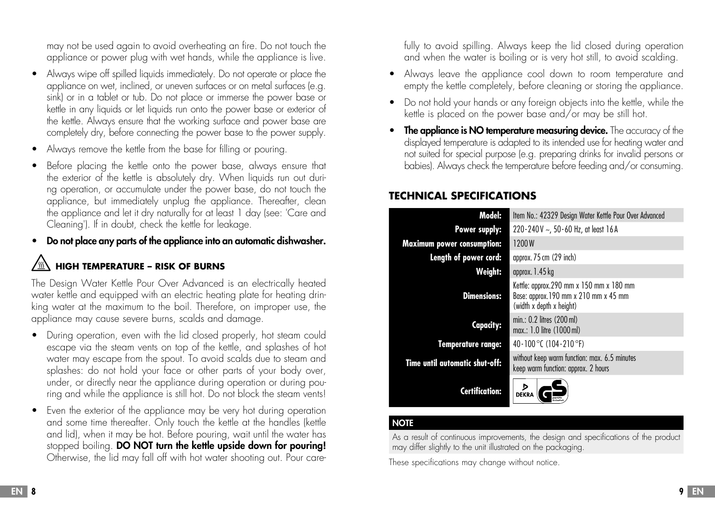may not be used again to avoid overheating an fire. Do not touch the appliance or power plug with wet hands, while the appliance is live.

- Always wipe off spilled liquids immediately. Do not operate or place the appliance on wet, inclined, or uneven surfaces or on metal surfaces (e.g. sink) or in a tablet or tub. Do not place or immerse the power base or kettle in any liquids or let liquids run onto the power base or exterior of the kettle. Always ensure that the working surface and power base are completely dry, before connecting the power base to the power supply.
- Always remove the kettle from the base for filling or pouring.
- Before placing the kettle onto the power base, always ensure that the exterior of the kettle is absolutely dry. When liquids run out during operation, or accumulate under the power base, do not touch the appliance, but immediately unplug the appliance. Thereafter, clean the appliance and let it dry naturally for at least 1 day (see: 'Care and Cleaning'). If in doubt, check the kettle for leakage.
- Do not place any parts of the appliance into an automatic dishwasher.

# **HIGH TEMPERATURE – RISK OF BURNS**

The Design Water Kettle Pour Over Advanced is an electrically heated water kettle and equipped with an electric heating plate for heating drinking water at the maximum to the boil. Therefore, on improper use, the appliance may cause severe burns, scalds and damage.

- During operation, even with the lid closed properly, hot steam could escape via the steam vents on top of the kettle, and splashes of hot water may escape from the spout. To avoid scalds due to steam and splashes: do not hold your face or other parts of your body over, under, or directly near the appliance during operation or during pouring and while the appliance is still hot. Do not block the steam vents!
- Even the exterior of the appliance may be very hot during operation and some time thereafter. Only touch the kettle at the handles (kettle and lid), when it may be hot. Before pouring, wait until the water has stopped boiling. DO NOT turn the kettle upside down for pouring! Otherwise, the lid may fall off with hot water shooting out. Pour care-

fully to avoid spilling. Always keep the lid closed during operation and when the water is boiling or is very hot still, to avoid scalding.

- Always leave the appliance cool down to room temperature and empty the kettle completely, before cleaning or storing the appliance.
- Do not hold your hands or any foreign objects into the kettle, while the kettle is placed on the power base and/or may be still hot.
- The appliance is NO temperature measuring device. The accuracy of the displayed temperature is adapted to its intended use for heating water and not suited for special purpose (e.g. preparing drinks for invalid persons or babies). Always check the temperature before feeding and/or consuming.

### **TECHNICAL SPECIFICATIONS**

| Model:                            | Item No.: 42329 Design Water Kettle Pour Over Advanced                                                      |  |  |
|-----------------------------------|-------------------------------------------------------------------------------------------------------------|--|--|
| Power supply:                     | 220 - 240 V $\sim$ , 50 - 60 Hz, at least 16 A                                                              |  |  |
| <b>Maximum power consumption:</b> | 1200 W                                                                                                      |  |  |
| Length of power cord:             | approx. $75 \text{ cm}$ (29 inch)                                                                           |  |  |
| Weight:                           | approx. $1.45$ kg                                                                                           |  |  |
| <b>Dimensions:</b>                | Kettle: approx.290 mm x 150 mm x 180 mm<br>Base: approx.190 mm x 210 mm x 45 mm<br>(width x depth x height) |  |  |
| <b>Capacity:</b>                  | min.: 0.2 litres (200 ml)<br>max.: 1.0 litre (1000 ml)                                                      |  |  |
| <b>Temperature range:</b>         | 40 - 100 °C (104 - 210 °F)                                                                                  |  |  |
| Time until automatic shut-off:    | without keep warm function: max. 6.5 minutes<br>keep warm function: approx. 2 hours                         |  |  |
| Certification:                    | ⋗<br><b>DEKRA</b>                                                                                           |  |  |

#### **NOTE**

As a result of continuous improvements, the design and specifications of the product may differ slightly to the unit illustrated on the packaging.

These specifications may change without notice.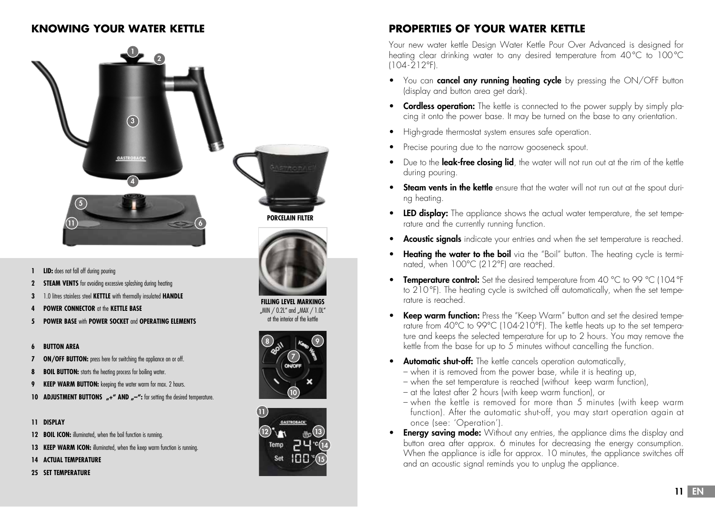



**PORCELAIN FILTER**



**FILLING LEVEL MARKINGS** "MIN  $/ 0.2$ L" and "MAX  $/ 1.0$ L" at the interior of the kettle





# **KNOWING YOUR WATER KETTLE PROPERTIES OF YOUR WATER KETTLE**

Your new water kettle Design Water Kettle Pour Over Advanced is designed for heating clear drinking water to any desired temperature from 40°C to 100°C (104-212°F).

- You can **cancel any running heating cycle** by pressing the ON/OFF button (display and button area get dark).
- Cordless operation: The kettle is connected to the power supply by simply placing it onto the power base. It may be turned on the base to any orientation.
- High-grade thermostat system ensures safe operation.
- Precise pouring due to the narrow gooseneck spout.
- Due to the **leak-free closing lid**, the water will not run out at the rim of the kettle during pouring.
- Steam vents in the kettle ensure that the water will not run out at the spout during heating.
- LED display: The appliance shows the actual water temperature, the set temperature and the currently running function.
- **Acoustic signals** indicate your entries and when the set temperature is reached.
- **Heating the water to the boil** via the "Boil" button. The heating cycle is terminated, when 100°C (212°F) are reached.
- Temperature control: Set the desired temperature from 40 °C to 99 °C (104 °F) to 210°F). The heating cycle is switched off automatically, when the set temperature is reached.
- **Keep warm function:** Press the "Keep Warm" button and set the desired temperature from 40°C to 99°C (104-210°F). The kettle heats up to the set temperature and keeps the selected temperature for up to 2 hours. You may remove the kettle from the base for up to 5 minutes without cancelling the function.
- **Automatic shut-off:** The kettle cancels operation automatically,
	- when it is removed from the power base, while it is heating up,
	- when the set temperature is reached (without keep warm function),
	- at the latest after 2 hours (with keep warm function), or
	- when the kettle is removed for more than 5 minutes (with keep warm function). After the automatic shut-off, you may start operation again at once (see: 'Operation').
- **Energy saving mode:** Without any entries, the appliance dims the display and button area after approx. 6 minutes for decreasing the energy consumption. When the appliance is idle for approx. 10 minutes, the appliance switches off and an acoustic signal reminds you to unplug the appliance.
- **1 LID:** does not fall off during pouring
- **2 STEAM VENTS** for avoiding excessive splashing during heating
- **3** 1.0 litres stainless steel **KETTLE** with thermally insulated **HANDLE**
- **4 POWER CONNECTOR** at the **KETTLE BASE**
- **5 POWER BASE** with **POWER SOCKET** and **OPERATING ELEMENTS**

#### **6 BUTTON AREA**

- **7 ON/OFF BUTTON:** press here for switching the appliance on or off.
- **8 BOIL BUTTON:** starts the heating process for boiling water.
- **9 KEEP WARM BUTTON:** keeping the water warm for max. 2 hours.
- **10 ADJUSTMENT BUTTONS "+" AND "-":** for setting the desired temperature.

#### **11 DISPLAY**

- **12 <b>BOIL ICON:** illuminated, when the boil function is running
- **13 <b>KEEP WARM ICON:** illuminated, when the keep warm function is running.
- **14 ACTUAL TEMPERATURE**
- **25 SET TEMPERATURE**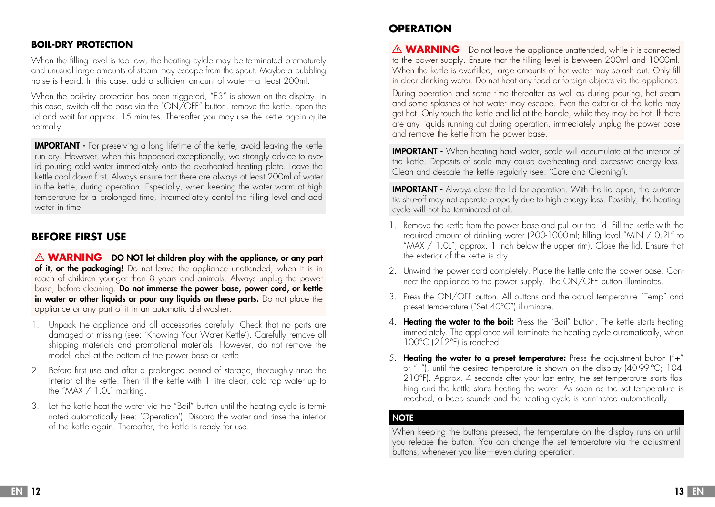#### **BOIL-DRY PROTECTION**

When the filling level is too low, the heating cylcle may be terminated prematurely and unusual large amounts of steam may escape from the spout. Maybe a bubbling noise is heard. In this case, add a sufficient amount of water—at least 200ml.

When the boil-dry protection has been triggered, "E3" is shown on the display. In this case, switch off the base via the "ON/OFF" button, remove the kettle, open the lid and wait for approx. 15 minutes. Thereafter you may use the kettle again quite normally.

IMPORTANT - For preserving a long lifetime of the kettle, avoid leaving the kettle run dry. However, when this happened exceptionally, we strongly advice to avoid pouring cold water immediately onto the overheated heating plate. Leave the kettle cool down first. Always ensure that there are always at least 200ml of water in the kettle, during operation. Especially, when keeping the water warm at high temperature for a prolonged time, intermediately contol the filling level and add water in time.

#### **BEFORE FIRST USE**

 $\triangle$  **WARNING** – DO NOT let children play with the appliance, or any part of it, or the packaging! Do not leave the appliance unattended, when it is in reach of children younger than 8 years and animals. Always unplug the power base, before cleaning. Do not immerse the power base, power cord, or kettle in water or other liquids or pour any liquids on these parts. Do not place the appliance or any part of it in an automatic dishwasher.

- 1. Unpack the appliance and all accessories carefully. Check that no parts are damaged or missing (see: 'Knowing Your Water Kettle'). Carefully remove all shipping materials and promotional materials. However, do not remove the model label at the bottom of the power base or kettle.
- 2. Before first use and after a prolonged period of storage, thoroughly rinse the interior of the kettle. Then fill the kettle with 1 litre clear, cold tap water up to the "MAX / 1.0L" marking.
- 3. Let the kettle heat the water via the "Boil" button until the heating cycle is terminated automatically (see: 'Operation'). Discard the water and rinse the interior of the kettle again. Thereafter, the kettle is ready for use.

### **OPERATION**

**△ WARNING** – Do not leave the appliance unattended, while it is connected to the power supply. Ensure that the filling level is between 200ml and 1000ml. When the kettle is overfilled, large amounts of hot water may splash out. Only fill in clear drinking water. Do not heat any food or foreign objects via the appliance.

During operation and some time thereafter as well as during pouring, hot steam and some splashes of hot water may escape. Even the exterior of the kettle may get hot. Only touch the kettle and lid at the handle, while they may be hot. If there are any liquids running out during operation, immediately unplug the power base and remove the kettle from the power base.

IMPORTANT - When heating hard water, scale will accumulate at the interior of the kettle. Deposits of scale may cause overheating and excessive energy loss. Clean and descale the kettle regularly (see: 'Care and Cleaning').

IMPORTANT - Always close the lid for operation. With the lid open, the automatic shut-off may not operate properly due to high energy loss. Possibly, the heating cycle will not be terminated at all.

- 1. Remove the kettle from the power base and pull out the lid. Fill the kettle with the required amount of drinking water (200-1000ml; filling level "MIN / 0.2L" to " $\overline{MAX}$  / 1.0L", approx. 1 inch below the upper rim). Close the lid. Ensure that the exterior of the kettle is dry.
- 2. Unwind the power cord completely. Place the kettle onto the power base. Connect the appliance to the power supply. The ON/OFF button illuminates.
- 3. Press the ON/OFF button. All buttons and the actual temperature "Temp" and preset temperature ("Set 40°C") illuminate.
- 4. Heating the water to the boil: Press the "Boil" button. The kettle starts heating immediately. The appliance will terminate the heating cycle automatically, when 100°C (212°F) is reached.
- 5. **Heating the water to a preset temperature:** Press the adjustment button  $(4, 4)$ or "–"), until the desired temperature is shown on the display (40-99°C; 104- 210°F). Approx. 4 seconds after your last entry, the set temperature starts flashing and the kettle starts heating the water. As soon as the set temperature is reached, a beep sounds and the heating cycle is terminated automatically.

#### **NOTE**

When keeping the buttons pressed, the temperature on the display runs on until you release the button. You can change the set temperature via the adjustment buttons, whenever you like—even during operation.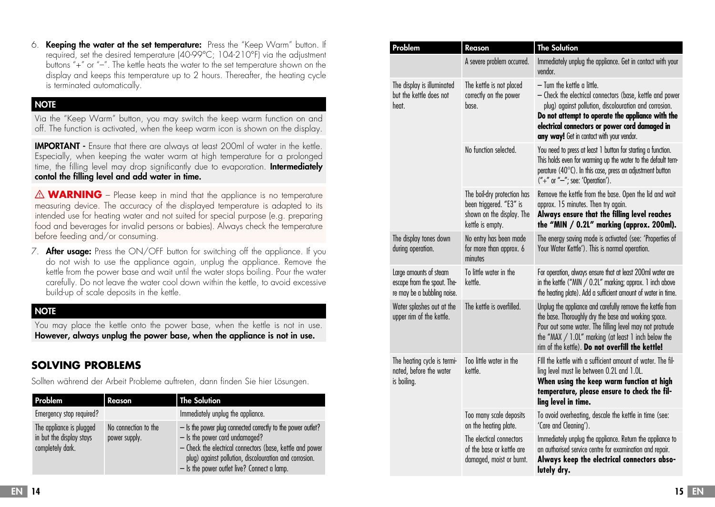6. Keeping the water at the set temperature: Press the "Keep Warm" button. If required, set the desired temperature (40-99°C; 104-210°F) via the adjustment buttons "+" or "–". The kettle heats the water to the set temperature shown on the display and keeps this temperature up to 2 hours. Thereafter, the heating cycle is terminated automatically.

#### **NOTE**

Via the "Keep Warm" button, you may switch the keep warm function on and off. The function is activated, when the keep warm icon is shown on the display.

IMPORTANT - Ensure that there are always at least 200ml of water in the kettle. Especially, when keeping the water warm at high temperature for a prolonged time, the filling level may drop significantly due to evaporation. **Intermediately** contol the filling level and add water in time.

 $\triangle$  **WARNING** – Please keep in mind that the appliance is no temperature measuring device. The accuracy of the displayed temperature is adapted to its intended use for heating water and not suited for special purpose (e.g. preparing food and beverages for invalid persons or babies). Always check the temperature before feeding and/or consuming.

7. **After usage:** Press the ON/OFF button for switching off the appliance. If you do not wish to use the appliance again, unplug the appliance. Remove the kettle from the power base and wait until the water stops boiling. Pour the water carefully. Do not leave the water cool down within the kettle, to avoid excessive build-up of scale deposits in the kettle.

#### **NOTE**

You may place the kettle onto the power base, when the kettle is not in use. However, always unplug the power base, when the appliance is not in use.

### **SOLVING PROBLEMS**

Sollten während der Arbeit Probleme auftreten, dann finden Sie hier Lösungen.

| Problem                                                                  | Reason                                | <b>The Solution</b>                                                                                                                                                                                                                                                  |
|--------------------------------------------------------------------------|---------------------------------------|----------------------------------------------------------------------------------------------------------------------------------------------------------------------------------------------------------------------------------------------------------------------|
| Emergency stop required?                                                 |                                       | Immediately unplug the appliance.                                                                                                                                                                                                                                    |
| The appliance is plugged<br>in but the display stays<br>completely dark. | No connection to the<br>power supply. | - Is the power plug connected correctly to the power outlet?<br>- Is the power cord undamaged?<br>- Check the electrical connectors (base, kettle and power<br>plug) against pollution, discolouration and corrosion.<br>- Is the power outlet live? Connect a lamp. |

| Problem                                                                              | Reason                                                                                                  | <b>The Solution</b>                                                                                                                                                                                                                                                                                   |
|--------------------------------------------------------------------------------------|---------------------------------------------------------------------------------------------------------|-------------------------------------------------------------------------------------------------------------------------------------------------------------------------------------------------------------------------------------------------------------------------------------------------------|
|                                                                                      | A severe problem occurred.                                                                              | Immediately unplug the appliance. Get in contact with your<br>vendor.                                                                                                                                                                                                                                 |
| The display is illuminated<br>but the kettle does not<br>heat.                       | The kettle is not placed<br>correctly on the power<br>base.                                             | - Turn the kettle a little.<br>- Check the electrical connectors (base, kettle and power<br>plug) against pollution, discolouration and corrosion.<br>Do not attempt to operate the appliance with the<br>electrical connectors or power cord damaged in<br>any way! Get in contact with your vendor. |
|                                                                                      | No function selected.                                                                                   | You need to press at least 1 button for starting a function.<br>This holds even for warming up the water to the default tem-<br>perature (40°C). In this case, press an adjustment button<br>$(*" +"$ or "-"; see: 'Operation').                                                                      |
|                                                                                      | The boil-dry protection has<br>been triggered. "E3" is<br>shown on the display. The<br>kettle is empty. | Remove the kettle from the base. Open the lid and wait<br>approx. 15 minutes. Then try again.<br>Always ensure that the filling level reaches<br>the "MIN / 0.2L" marking (approx. 200ml).                                                                                                            |
| The display tones down<br>during operation.                                          | No entry has been made<br>for more than approx. 6<br>minutes                                            | The energy saving mode is activated (see: 'Properties of<br>Your Water Kettle'). This is normal operation.                                                                                                                                                                                            |
| Large amounts of steam<br>escape from the spout. The-<br>re may be a bubbling noise. | To little water in the<br>kettle.                                                                       | For operation, always ensure that at least 200ml water are<br>in the kettle ("MIN $/$ 0.2L" marking; approx. 1 inch above<br>the heating plate). Add a sufficient amount of water in time.                                                                                                            |
| Water splashes out at the<br>upper rim of the kettle.                                | The kettle is overfilled.                                                                               | Unplug the appliance and carefully remove the kettle from<br>the base. Thoroughly dry the base and working space.<br>Pour out some water. The filling level may not protrude<br>the "MAX $/ 1.01$ " marking (at least 1 inch below the<br>rim of the kettle). Do not overfill the kettle!             |
| The heating cycle is termi-<br>nated, before the water<br>is boiling.                | Too little water in the<br>kettle.                                                                      | FIII the kettle with a sufficient amount of water. The fil-<br>ling level must lie between 0.2L and 1.0L.<br>When using the keep warm function at high<br>temperature, please ensure to check the fil-<br>ling level in time.                                                                         |
|                                                                                      | Too many scale deposits<br>on the heating plate.                                                        | To avoid overheating, descale the kettle in time (see:<br>'Care and Cleaning').                                                                                                                                                                                                                       |
|                                                                                      | The electical connectors<br>of the base or kettle are<br>damaged, moist or burnt.                       | Immediately unplug the appliance. Return the appliance to<br>an authorised service centre for examination and repair.<br>Always keep the electrical connectors abso-<br>lutely dry.                                                                                                                   |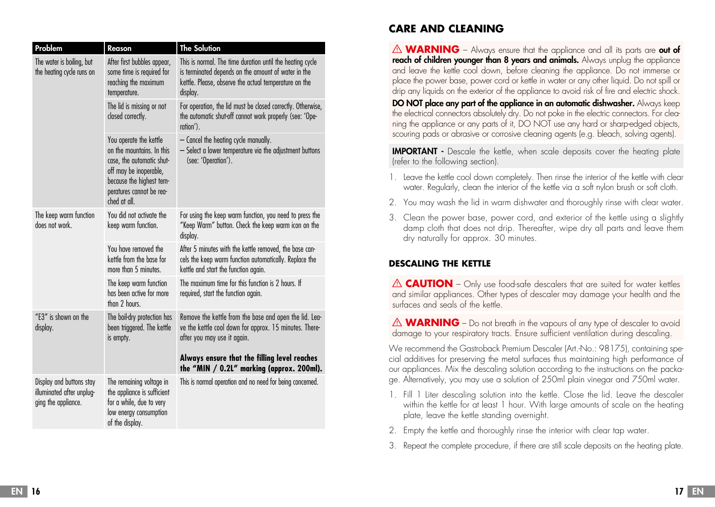| Problem                                                                      | Reason                                                                                                                                                                             | <b>The Solution</b>                                                                                                                                                                   |
|------------------------------------------------------------------------------|------------------------------------------------------------------------------------------------------------------------------------------------------------------------------------|---------------------------------------------------------------------------------------------------------------------------------------------------------------------------------------|
| The water is boiling, but<br>the heating cycle runs on                       | After first bubbles appear,<br>some time is required for<br>reaching the maximum<br>temperature.                                                                                   | This is normal. The time duration until the heating cycle<br>is terminated depends on the amount of water in the<br>kettle. Please, observe the actual temperature on the<br>display. |
|                                                                              | The lid is missing or not<br>closed correctly.                                                                                                                                     | For operation, the lid must be closed correctly. Otherwise,<br>the automatic shut-off cannot work properly (see: 'Ope-<br>ration').                                                   |
|                                                                              | You operate the kettle<br>on the mountains. In this<br>case, the automatic shut-<br>off may be inoperable,<br>because the highest tem-<br>peratures cannot be rea-<br>ched at all. | - Cancel the heating cycle manually.<br>- Select a lower temperature via the adjustment buttons<br>(see: 'Operation').                                                                |
| The keep warm function<br>does not work.                                     | You did not activate the<br>keep warm function.                                                                                                                                    | For using the keep warm function, you need to press the<br>"Keep Warm" button. Check the keep warm icon on the<br>display.                                                            |
|                                                                              | You have removed the<br>kettle from the base for<br>more than 5 minutes.                                                                                                           | After 5 minutes with the kettle removed, the base can-<br>cels the keep warm function automatically. Replace the<br>kettle and start the function again.                              |
|                                                                              | The keep warm function<br>has been active for more<br>than 2 hours.                                                                                                                | The maximum time for this function is 2 hours. If<br>required, start the function again.                                                                                              |
| "E3" is shown on the<br>display.                                             | The boil-dry protection has<br>been triggered. The kettle<br>is empty.                                                                                                             | Remove the kettle from the base and open the lid. Lea-<br>ve the kettle cool down for approx. 15 minutes. There-<br>after you may use it again.                                       |
|                                                                              |                                                                                                                                                                                    | Always ensure that the filling level reaches<br>the "MIN / 0.2L" marking (approx. 200ml).                                                                                             |
| Display and buttons stay<br>illuminated after unplug-<br>ging the appliance. | The remaining voltage in<br>the appliance is sufficient<br>for a while, due to very<br>low energy consumption<br>of the display.                                                   | This is normal operation and no need for being concerned.                                                                                                                             |

## **CARE AND CLEANING**

**WARNING** – Always ensure that the appliance and all its parts are **out of** reach of children younger than 8 years and animals. Always unplug the appliance and leave the kettle cool down, before cleaning the appliance. Do not immerse or place the power base, power cord or kettle in water or any other liquid. Do not spill or drip any liquids on the exterior of the appliance to avoid risk of fire and electric shock.

**DO NOT place any part of the appliance in an automatic dishwasher.** Always keep the electrical connectors absolutely dry. Do not poke in the electric connectors. For cleaning the appliance or any parts of it, DO NOT use any hard or sharp-edged objects, scouring pads or abrasive or corrosive cleaning agents (e.g. bleach, solving agents).

**IMPORTANT** - Descale the kettle, when scale deposits cover the heating plate (refer to the following section).

- 1. Leave the kettle cool down completely. Then rinse the interior of the kettle with clear water. Regularly, clean the interior of the kettle via a soft nylon brush or soft cloth.
- 2. You may wash the lid in warm dishwater and thoroughly rinse with clear water.
- 3. Clean the power base, power cord, and exterior of the kettle using a slightly damp cloth that does not drip. Thereafter, wipe dry all parts and leave them dry naturally for approx. 30 minutes.

#### **DESCALING THE KETTLE**

**CAUTION** – Only use food-safe descalers that are suited for water kettles and similar appliances. Other types of descaler may damage your health and the surfaces and seals of the kettle.

 $\triangle$  **WARNING** – Do not breath in the vapours of any type of descaler to avoid damage to your respiratory tracts. Ensure sufficient ventilation during descaling.

We recommend the Gastroback Premium Descaler (Art.-No.: 98175), containing special additives for preserving the metal surfaces thus maintaining high performance of our appliances. Mix the descaling solution according to the instructions on the package. Alternatively, you may use a solution of 250ml plain vinegar and 750ml water.

- 1. Fill 1 Liter descaling solution into the kettle. Close the lid. Leave the descaler within the kettle for at least 1 hour. With large amounts of scale on the heating plate, leave the kettle standing overnight.
- 2. Empty the kettle and thoroughly rinse the interior with clear tap water.
- 3. Repeat the complete procedure, if there are still scale deposits on the heating plate.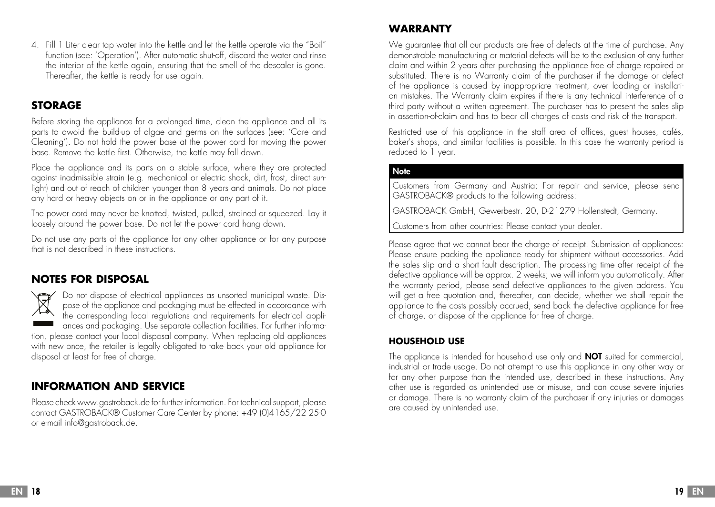4. Fill 1 Liter clear tap water into the kettle and let the kettle operate via the "Boil" function (see: 'Operation'). After automatic shut-off, discard the water and rinse the interior of the kettle again, ensuring that the smell of the descaler is gone. Thereafter, the kettle is ready for use again.

# **STORAGE**

Before storing the appliance for a prolonged time, clean the appliance and all its parts to awoid the build-up of algae and germs on the surfaces (see: 'Care and Cleaning'). Do not hold the power base at the power cord for moving the power base. Remove the kettle first. Otherwise, the kettle may fall down.

Place the appliance and its parts on a stable surface, where they are protected against inadmissible strain (e.g. mechanical or electric shock, dirt, frost, direct sunlight) and out of reach of children younger than 8 years and animals. Do not place any hard or heavy objects on or in the appliance or any part of it.

The power cord may never be knotted, twisted, pulled, strained or squeezed. Lay it loosely around the power base. Do not let the power cord hang down.

Do not use any parts of the appliance for any other appliance or for any purpose that is not described in these instructions.

# **NOTES FOR DISPOSAL**

 $\sum_{i=1}^{n}$ Do not dispose of electrical appliances as unsorted municipal waste. Dispose of the appliance and packaging must be effected in accordance with the corresponding local regulations and requirements for electrical appliances and packaging. Use separate collection facilities. For further information, please contact your local disposal company. When replacing old appliances with new once, the retailer is legally obligated to take back your old appliance for disposal at least for free of charge.

# **INFORMATION AND SERVICE**

Please check www.gastroback.de for further information. For technical support, please contact GASTROBACK® Customer Care Center by phone: +49 (0)4165/22 25-0 or e-mail info@gastroback.de.

# **WARRANTY**

We guarantee that all our products are free of defects at the time of purchase. Any demonstrable manufacturing or material defects will be to the exclusion of any further claim and within 2 years after purchasing the appliance free of charge repaired or substituted. There is no Warranty claim of the purchaser if the damage or defect of the appliance is caused by inappropriate treatment, over loading or installation mistakes. The Warranty claim expires if there is any technical interference of a third party without a written agreement. The purchaser has to present the sales slip in assertion-of-claim and has to bear all charges of costs and risk of the transport.

Restricted use of this appliance in the staff area of offices, guest houses, cafés, baker's shops, and similar facilities is possible. In this case the warranty period is reduced to 1 year.

#### **Note**

Customers from Germany and Austria: For repair and service, please send GASTROBACK® products to the following address:

GASTROBACK GmbH, Gewerbestr. 20, D-21279 Hollenstedt, Germany.

Customers from other countries: Please contact your dealer.

Please agree that we cannot bear the charge of receipt. Submission of appliances: Please ensure packing the appliance ready for shipment without accessories. Add the sales slip and a short fault description. The processing time after receipt of the defective appliance will be approx. 2 weeks; we will inform you automatically. After the warranty period, please send defective appliances to the given address. You will get a free quotation and, thereafter, can decide, whether we shall repair the appliance to the costs possibly accrued, send back the defective appliance for free of charge, or dispose of the appliance for free of charge.

#### **HOUSEHOLD USE**

The appliance is intended for household use only and **NOT** suited for commercial, industrial or trade usage. Do not attempt to use this appliance in any other way or for any other purpose than the intended use, described in these instructions. Any other use is regarded as unintended use or misuse, and can cause severe injuries or damage. There is no warranty claim of the purchaser if any injuries or damages are caused by unintended use.